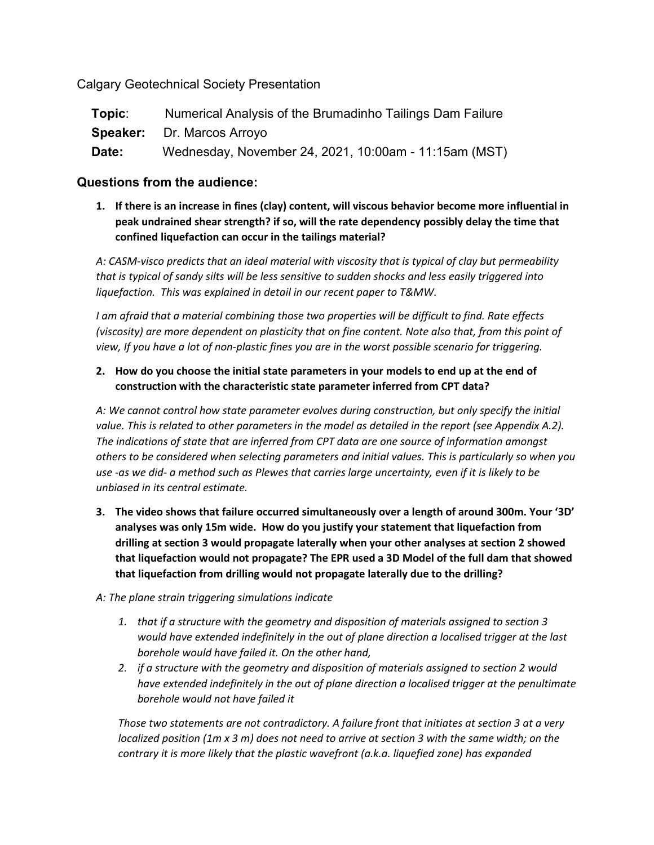Calgary Geotechnical Society Presentation

| Topic: | Numerical Analysis of the Brumadinho Tailings Dam Failure |
|--------|-----------------------------------------------------------|
|        | <b>Speaker:</b> Dr. Marcos Arroyo                         |
| Date:  | Wednesday, November 24, 2021, 10:00am - 11:15am (MST)     |

# **Questions from the audience:**

**1. If there is an increase in fines (clay) content, will viscous behavior become more influential in peak undrained shear strength? if so, will the rate dependency possibly delay the time that confined liquefaction can occur in the tailings material?**

*A: CASM-visco predicts that an ideal material with viscosity that is typical of clay but permeability that is typical of sandy silts will be less sensitive to sudden shocks and less easily triggered into liquefaction. This was explained in detail in our recent paper to T&MW.*

*I am afraid that a material combining those two properties will be difficult to find. Rate effects (viscosity) are more dependent on plasticity that on fine content. Note also that, from this point of view, If you have a lot of non-plastic fines you are in the worst possible scenario for triggering.*

## **2. How do you choose the initial state parameters in your models to end up at the end of construction with the characteristic state parameter inferred from CPT data?**

*A: We cannot control how state parameter evolves during construction, but only specify the initial value. This is related to other parameters in the model as detailed in the report (see Appendix A.2). The indications of state that are inferred from CPT data are one source of information amongst others to be considered when selecting parameters and initial values. This is particularly so when you use -as we did- a method such as Plewes that carries large uncertainty, even if it is likely to be unbiased in its central estimate.* 

- **3. The video shows that failure occurred simultaneously over a length of around 300m. Your '3D' analyses was only 15m wide. How do you justify your statement that liquefaction from drilling at section 3 would propagate laterally when your other analyses at section 2 showed that liquefaction would not propagate? The EPR used a 3D Model of the full dam that showed that liquefaction from drilling would not propagate laterally due to the drilling?**
- *A: The plane strain triggering simulations indicate*
	- *1. that if a structure with the geometry and disposition of materials assigned to section 3 would have extended indefinitely in the out of plane direction a localised trigger at the last borehole would have failed it. On the other hand,*
	- *2. if a structure with the geometry and disposition of materials assigned to section 2 would have extended indefinitely in the out of plane direction a localised trigger at the penultimate borehole would not have failed it*

*Those two statements are not contradictory. A failure front that initiates at section 3 at a very localized position (1m x 3 m) does not need to arrive at section 3 with the same width; on the contrary it is more likely that the plastic wavefront (a.k.a. liquefied zone) has expanded*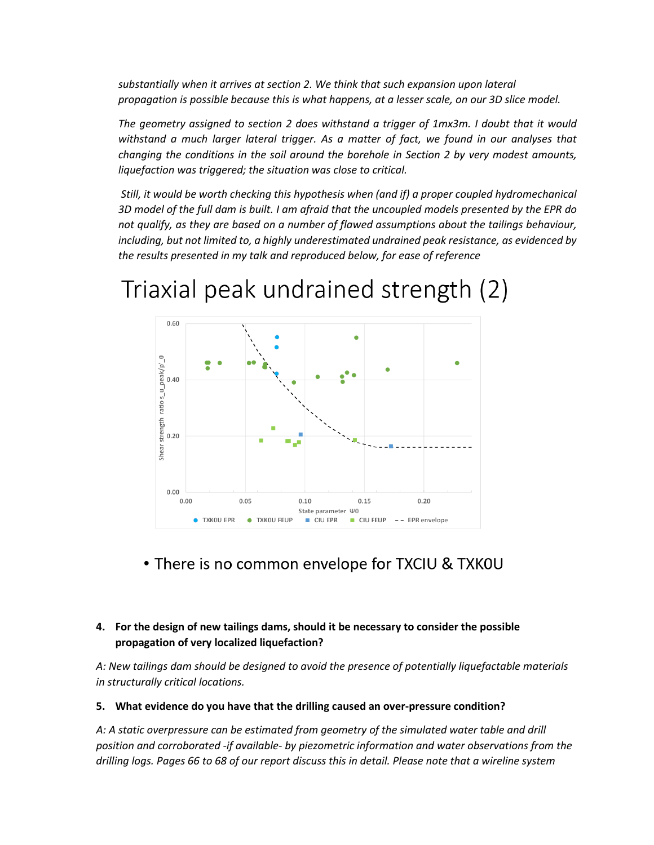*substantially when it arrives at section 2. We think that such expansion upon lateral propagation is possible because this is what happens, at a lesser scale, on our 3D slice model.*

*The geometry assigned to section 2 does withstand a trigger of 1mx3m. I doubt that it would withstand a much larger lateral trigger. As a matter of fact, we found in our analyses that changing the conditions in the soil around the borehole in Section 2 by very modest amounts, liquefaction was triggered; the situation was close to critical.*

*Still, it would be worth checking this hypothesis when (and if) a proper coupled hydromechanical 3D model of the full dam is built. I am afraid that the uncoupled models presented by the EPR do not qualify, as they are based on a number of flawed assumptions about the tailings behaviour, including, but not limited to, a highly underestimated undrained peak resistance, as evidenced by the results presented in my talk and reproduced below, for ease of reference*

 $0.60$  $\circ$ ratio s\_u\_peak/p'  $0.40$ strength  $0.20$ Shear  $0.00$  $0.00$  $0.05$  $0.15$  $0.20$  $0.10$ State parameter \0 · TXKOU FEUP  $\Box$  CIU FEUP  $\rightarrow$  EPR envelope **C** TXKOU EPR CIU EPR

Triaxial peak undrained strength (2)

• There is no common envelope for TXCIU & TXKOU

## **4. For the design of new tailings dams, should it be necessary to consider the possible propagation of very localized liquefaction?**

*A: New tailings dam should be designed to avoid the presence of potentially liquefactable materials in structurally critical locations.*

#### **5. What evidence do you have that the drilling caused an over-pressure condition?**

*A: A static overpressure can be estimated from geometry of the simulated water table and drill position and corroborated -if available- by piezometric information and water observations from the drilling logs. Pages 66 to 68 of our report discuss this in detail. Please note that a wireline system*